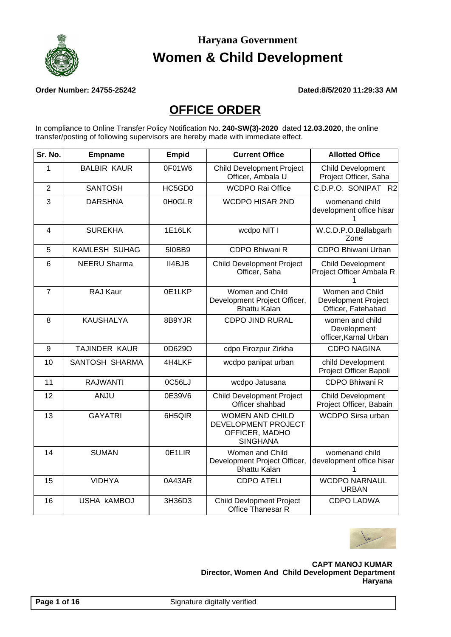

**Order Number: 24755-25242 Dated:8/5/2020 11:29:33 AM**

#### **OFFICE ORDER**

In compliance to Online Transfer Policy Notification No. **240-SW(3)-2020** dated **12.03.2020**, the online transfer/posting of following supervisors are hereby made with immediate effect.

| Sr. No.        | <b>Empname</b>       | <b>Empid</b>  | <b>Current Office</b>                                                              | <b>Allotted Office</b>                                              |
|----------------|----------------------|---------------|------------------------------------------------------------------------------------|---------------------------------------------------------------------|
| 1              | <b>BALBIR KAUR</b>   | 0F01W6        | <b>Child Development Project</b><br>Officer, Ambala U                              | <b>Child Development</b><br>Project Officer, Saha                   |
| $\overline{2}$ | <b>SANTOSH</b>       | HC5GD0        | <b>WCDPO Rai Office</b>                                                            | C.D.P.O. SONIPAT R2                                                 |
| 3              | <b>DARSHNA</b>       | 0H0GLR        | <b>WCDPO HISAR 2ND</b>                                                             | womenand child<br>development office hisar<br>1                     |
| $\overline{4}$ | <b>SUREKHA</b>       | <b>1E16LK</b> | wcdpo NIT I                                                                        | W.C.D.P.O.Ballabgarh<br>Zone                                        |
| 5              | <b>KAMLESH SUHAG</b> | 510BB9        | CDPO Bhiwani R                                                                     | CDPO Bhiwani Urban                                                  |
| 6              | <b>NEERU Sharma</b>  | II4BJB        | <b>Child Development Project</b><br>Officer, Saha                                  | <b>Child Development</b><br>Project Officer Ambala R                |
| $\overline{7}$ | RAJ Kaur             | 0E1LKP        | Women and Child<br>Development Project Officer,<br><b>Bhattu Kalan</b>             | Women and Child<br><b>Development Project</b><br>Officer, Fatehabad |
| 8              | <b>KAUSHALYA</b>     | 8B9YJR        | <b>CDPO JIND RURAL</b>                                                             | women and child<br>Development<br>officer, Karnal Urban             |
| 9              | TAJINDER KAUR        | 0D629O        | cdpo Firozpur Zirkha                                                               | <b>CDPO NAGINA</b>                                                  |
| 10             | SANTOSH SHARMA       | 4H4LKF        | wcdpo panipat urban                                                                | child Development<br>Project Officer Bapoli                         |
| 11             | <b>RAJWANTI</b>      | 0C56LJ        | wcdpo Jatusana                                                                     | <b>CDPO Bhiwani R</b>                                               |
| 12             | ANJU                 | 0E39V6        | <b>Child Development Project</b><br>Officer shahbad                                | <b>Child Development</b><br>Project Officer, Babain                 |
| 13             | <b>GAYATRI</b>       | 6H5QIR        | <b>WOMEN AND CHILD</b><br>DEVELOPMENT PROJECT<br>OFFICER, MADHO<br><b>SINGHANA</b> | WCDPO Sirsa urban                                                   |
| 14             | <b>SUMAN</b>         | 0E1LIR        | Women and Child<br>Development Project Officer,<br><b>Bhattu Kalan</b>             | womenand child<br>development office hisar<br>1                     |
| 15             | <b>VIDHYA</b>        | 0A43AR        | <b>CDPO ATELI</b>                                                                  | <b>WCDPO NARNAUL</b><br><b>URBAN</b>                                |
| 16             | <b>USHA KAMBOJ</b>   | 3H36D3        | <b>Child Devlopment Project</b><br>Office Thanesar R                               | <b>CDPO LADWA</b>                                                   |

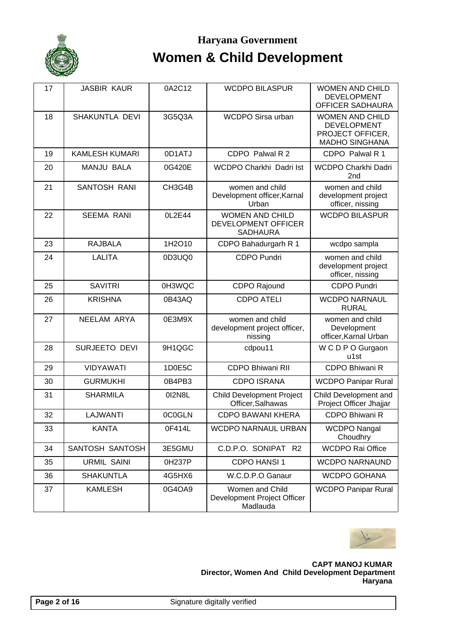

| 17 | <b>JASBIR KAUR</b>    | 0A2C12 | <b>WCDPO BILASPUR</b>                                            | <b>WOMEN AND CHILD</b><br><b>DEVELOPMENT</b><br>OFFICER SADHAURA                          |
|----|-----------------------|--------|------------------------------------------------------------------|-------------------------------------------------------------------------------------------|
| 18 | SHAKUNTLA DEVI        | 3G5Q3A | <b>WCDPO Sirsa urban</b>                                         | <b>WOMEN AND CHILD</b><br><b>DEVELOPMENT</b><br>PROJECT OFFICER,<br><b>MADHO SINGHANA</b> |
| 19 | <b>KAMLESH KUMARI</b> | 0D1ATJ | CDPO Palwal R 2                                                  | CDPO Palwal R 1                                                                           |
| 20 | <b>MANJU BALA</b>     | 0G420E | WCDPO Charkhi Dadri Ist                                          | WCDPO Charkhi Dadri<br>2 <sub>nd</sub>                                                    |
| 21 | <b>SANTOSH RANI</b>   | CH3G4B | women and child<br>Development officer, Karnal<br>Urban          | women and child<br>development project<br>officer, nissing                                |
| 22 | <b>SEEMA RANI</b>     | 0L2E44 | <b>WOMEN AND CHILD</b><br>DEVELOPMENT OFFICER<br><b>SADHAURA</b> | <b>WCDPO BILASPUR</b>                                                                     |
| 23 | <b>RAJBALA</b>        | 1H2O10 | CDPO Bahadurgarh R 1                                             | wcdpo sampla                                                                              |
| 24 | <b>LALITA</b>         | 0D3UQ0 | <b>CDPO Pundri</b>                                               | women and child<br>development project<br>officer, nissing                                |
| 25 | <b>SAVITRI</b>        | 0H3WQC | CDPO Rajound                                                     | <b>CDPO Pundri</b>                                                                        |
| 26 | <b>KRISHNA</b>        | 0B43AQ | <b>CDPO ATELI</b>                                                | <b>WCDPO NARNAUL</b><br><b>RURAL</b>                                                      |
| 27 | NEELAM ARYA           | 0E3M9X | women and child<br>development project officer,<br>nissing       | women and child<br>Development<br>officer, Karnal Urban                                   |
| 28 | <b>SURJEETO DEVI</b>  | 9H1QGC | cdpou11                                                          | W C D P O Gurgaon<br>u1st                                                                 |
| 29 | <b>VIDYAWATI</b>      | 1D0E5C | <b>CDPO Bhiwani RII</b>                                          | CDPO Bhiwani R                                                                            |
| 30 | <b>GURMUKHI</b>       | 0B4PB3 | <b>CDPO ISRANA</b>                                               | <b>WCDPO Panipar Rural</b>                                                                |
| 31 | <b>SHARMILA</b>       | 012N8L | <b>Child Development Project</b><br>Officer, Salhawas            | Child Development and<br>Project Officer Jhajjar                                          |
| 32 | <b>LAJWANTI</b>       | 0C0GLN | <b>CDPO BAWANI KHERA</b>                                         | CDPO Bhiwani R                                                                            |
| 33 | <b>KANTA</b>          | 0F414L | WCDPO NARNAUL URBAN                                              | <b>WCDPO Nangal</b><br>Choudhry                                                           |
| 34 | SANTOSH SANTOSH       | 3E5GMU | C.D.P.O. SONIPAT R2                                              | <b>WCDPO Rai Office</b>                                                                   |
| 35 | <b>URMIL SAINI</b>    | 0H237P | CDPO HANSI 1                                                     | <b>WCDPO NARNAUND</b>                                                                     |
| 36 | <b>SHAKUNTLA</b>      | 4G5HX6 | W.C.D.P.O Ganaur                                                 | WCDPO GOHANA                                                                              |
| 37 | <b>KAMLESH</b>        | 0G4OA9 | Women and Child<br>Development Project Officer<br>Madlauda       | <b>WCDPO Panipar Rural</b>                                                                |

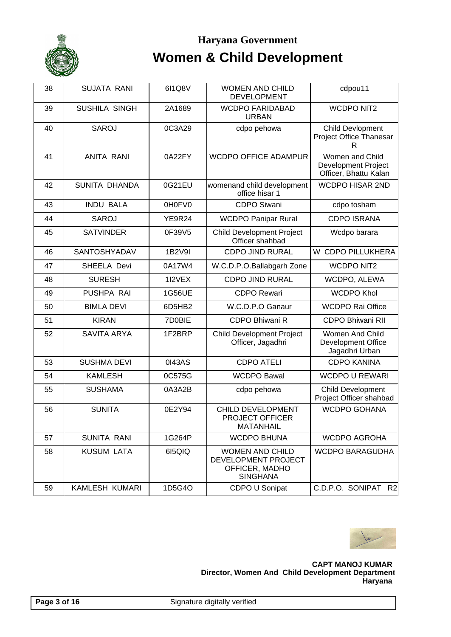

| 38 | <b>SUJATA RANI</b>   | 6I1Q8V        | <b>WOMEN AND CHILD</b><br><b>DEVELOPMENT</b>                                       | cdpou11                                                                |
|----|----------------------|---------------|------------------------------------------------------------------------------------|------------------------------------------------------------------------|
| 39 | <b>SUSHILA SINGH</b> | 2A1689        | <b>WCDPO FARIDABAD</b><br><b>URBAN</b>                                             | <b>WCDPO NIT2</b>                                                      |
| 40 | <b>SAROJ</b>         | 0C3A29        | cdpo pehowa                                                                        | Child Devlopment<br>Project Office Thanesar<br>R                       |
| 41 | <b>ANITA RANI</b>    | 0A22FY        | <b>WCDPO OFFICE ADAMPUR</b>                                                        | Women and Child<br><b>Development Project</b><br>Officer, Bhattu Kalan |
| 42 | SUNITA DHANDA        | 0G21EU        | womenand child development<br>office hisar 1                                       | <b>WCDPO HISAR 2ND</b>                                                 |
| 43 | <b>INDU BALA</b>     | 0H0FV0        | <b>CDPO Siwani</b>                                                                 | cdpo tosham                                                            |
| 44 | <b>SAROJ</b>         | <b>YE9R24</b> | <b>WCDPO Panipar Rural</b>                                                         | <b>CDPO ISRANA</b>                                                     |
| 45 | <b>SATVINDER</b>     | 0F39V5        | <b>Child Development Project</b><br>Officer shahbad                                | Wcdpo barara                                                           |
| 46 | SANTOSHYADAV         | 1B2V9I        | <b>CDPO JIND RURAL</b>                                                             | W CDPO PILLUKHERA                                                      |
| 47 | SHEELA Devi          | 0A17W4        | W.C.D.P.O.Ballabgarh Zone                                                          | <b>WCDPO NIT2</b>                                                      |
| 48 | <b>SURESH</b>        | 1I2VEX        | <b>CDPO JIND RURAL</b>                                                             | WCDPO, ALEWA                                                           |
| 49 | PUSHPA RAI           | 1G56UE        | <b>CDPO Rewari</b>                                                                 | <b>WCDPO Khol</b>                                                      |
| 50 | <b>BIMLA DEVI</b>    | 6D5HB2        | W.C.D.P.O Ganaur                                                                   | <b>WCDPO Rai Office</b>                                                |
| 51 | <b>KIRAN</b>         | 7D0BIE        | CDPO Bhiwani R                                                                     | <b>CDPO Bhiwani RII</b>                                                |
| 52 | <b>SAVITA ARYA</b>   | 1F2BRP        | <b>Child Development Project</b><br>Officer, Jagadhri                              | Women And Child<br>Development Office<br>Jagadhri Urban                |
| 53 | <b>SUSHMA DEVI</b>   | 0143AS        | <b>CDPO ATELI</b>                                                                  | <b>CDPO KANINA</b>                                                     |
| 54 | <b>KAMLESH</b>       | 0C575G        | <b>WCDPO Bawal</b>                                                                 | <b>WCDPO U REWARI</b>                                                  |
| 55 | <b>SUSHAMA</b>       | 0A3A2B        | cdpo pehowa                                                                        | <b>Child Development</b><br>Project Officer shahbad                    |
| 56 | <b>SUNITA</b>        | 0E2Y94        | CHILD DEVELOPMENT<br><b>PROJECT OFFICER</b><br><b>MATANHAIL</b>                    | <b>WCDPO GOHANA</b>                                                    |
| 57 | <b>SUNITA RANI</b>   | 1G264P        | <b>WCDPO BHUNA</b>                                                                 | <b>WCDPO AGROHA</b>                                                    |
| 58 | <b>KUSUM LATA</b>    | 615QIQ        | <b>WOMEN AND CHILD</b><br>DEVELOPMENT PROJECT<br>OFFICER, MADHO<br><b>SINGHANA</b> | <b>WCDPO BARAGUDHA</b>                                                 |
| 59 | KAMLESH KUMARI       | 1D5G4O        | CDPO U Sonipat                                                                     | C.D.P.O. SONIPAT R2                                                    |

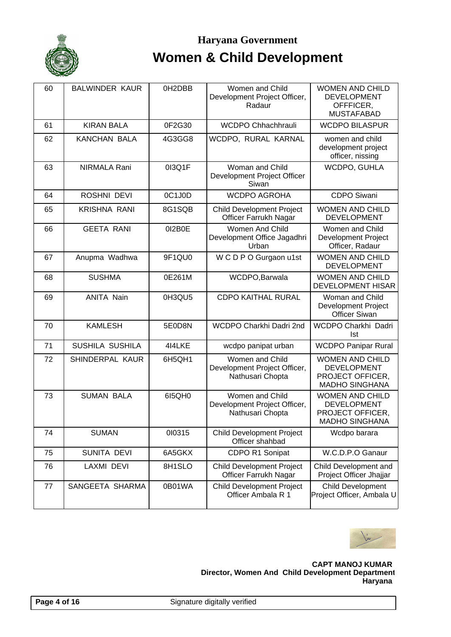

## Haryana Government **Women & Child Development**

| 60 | <b>BALWINDER KAUR</b> | 0H2DBB | Women and Child<br>Development Project Officer,<br>Radaur           | <b>WOMEN AND CHILD</b><br><b>DEVELOPMENT</b><br>OFFFICER,<br><b>MUSTAFABAD</b>            |
|----|-----------------------|--------|---------------------------------------------------------------------|-------------------------------------------------------------------------------------------|
| 61 | <b>KIRAN BALA</b>     | 0F2G30 | WCDPO Chhachhrauli                                                  | <b>WCDPO BILASPUR</b>                                                                     |
| 62 | <b>KANCHAN BALA</b>   | 4G3GG8 | WCDPO, RURAL KARNAL                                                 | women and child<br>development project<br>officer, nissing                                |
| 63 | NIRMALA Rani          | 013Q1F | Woman and Child<br>Development Project Officer<br>Siwan             | WCDPO, GUHLA                                                                              |
| 64 | ROSHNI DEVI           | 0C1J0D | <b>WCDPO AGROHA</b>                                                 | <b>CDPO Siwani</b>                                                                        |
| 65 | <b>KRISHNA RANI</b>   | 8G1SQB | <b>Child Development Project</b><br>Officer Farrukh Nagar           | <b>WOMEN AND CHILD</b><br><b>DEVELOPMENT</b>                                              |
| 66 | <b>GEETA RANI</b>     | 012B0E | Women And Child<br>Development Office Jagadhri<br>Urban             | Women and Child<br>Development Project<br>Officer, Radaur                                 |
| 67 | Anupma Wadhwa         | 9F1QU0 | W C D P O Gurgaon u1st                                              | <b>WOMEN AND CHILD</b><br><b>DEVELOPMENT</b>                                              |
| 68 | <b>SUSHMA</b>         | 0E261M | WCDPO, Barwala                                                      | <b>WOMEN AND CHILD</b><br><b>DEVELOPMENT HISAR</b>                                        |
| 69 | <b>ANITA Nain</b>     | 0H3QU5 | <b>CDPO KAITHAL RURAL</b>                                           | Woman and Child<br>Development Project<br><b>Officer Siwan</b>                            |
| 70 | <b>KAMLESH</b>        | 5E0D8N | WCDPO Charkhi Dadri 2nd                                             | WCDPO Charkhi Dadri<br>Ist                                                                |
| 71 | SUSHILA SUSHILA       | 4I4LKE | wcdpo panipat urban                                                 | <b>WCDPO Panipar Rural</b>                                                                |
| 72 | SHINDERPAL KAUR       | 6H5QH1 | Women and Child<br>Development Project Officer,<br>Nathusari Chopta | <b>WOMEN AND CHILD</b><br><b>DEVELOPMENT</b><br>PROJECT OFFICER,<br><b>MADHO SINGHANA</b> |
| 73 | <b>SUMAN BALA</b>     | 615QH0 | Women and Child<br>Development Project Officer,<br>Nathusari Chopta | <b>WOMEN AND CHILD</b><br><b>DEVELOPMENT</b><br>PROJECT OFFICER,<br><b>MADHO SINGHANA</b> |
| 74 | <b>SUMAN</b>          | 010315 | <b>Child Development Project</b><br>Officer shahbad                 | Wcdpo barara                                                                              |
| 75 | SUNITA DEVI           | 6A5GKX | CDPO R1 Sonipat                                                     | W.C.D.P.O Ganaur                                                                          |
| 76 | <b>LAXMI DEVI</b>     | 8H1SLO | <b>Child Development Project</b><br>Officer Farrukh Nagar           | Child Development and<br>Project Officer Jhajjar                                          |
| 77 | SANGEETA SHARMA       | 0B01WA | <b>Child Development Project</b><br>Officer Ambala R 1              | Child Development<br>Project Officer, Ambala U                                            |

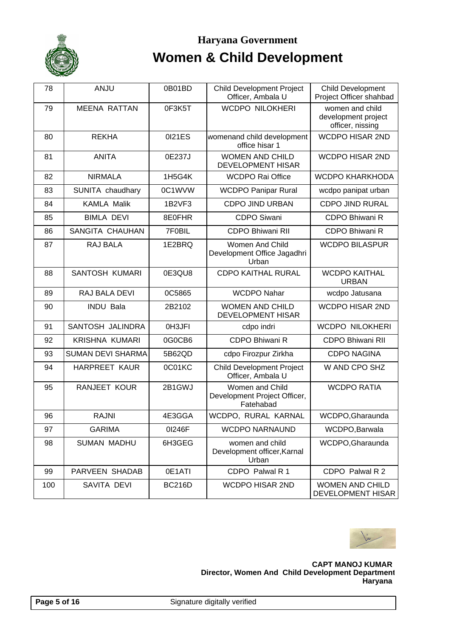

| 78  | ANJU                     | 0B01BD        | <b>Child Development Project</b><br>Officer, Ambala U        | <b>Child Development</b><br>Project Officer shahbad        |
|-----|--------------------------|---------------|--------------------------------------------------------------|------------------------------------------------------------|
| 79  | <b>MEENA RATTAN</b>      | 0F3K5T        | <b>WCDPO NILOKHERI</b>                                       | women and child<br>development project<br>officer, nissing |
| 80  | <b>REKHA</b>             | 0121ES        | womenand child development<br>office hisar 1                 | <b>WCDPO HISAR 2ND</b>                                     |
| 81  | <b>ANITA</b>             | 0E237J        | <b>WOMEN AND CHILD</b><br><b>DEVELOPMENT HISAR</b>           | <b>WCDPO HISAR 2ND</b>                                     |
| 82  | <b>NIRMALA</b>           | 1H5G4K        | <b>WCDPO Rai Office</b>                                      | <b>WCDPO KHARKHODA</b>                                     |
| 83  | SUNITA chaudhary         | 0C1WVW        | <b>WCDPO Panipar Rural</b>                                   | wcdpo panipat urban                                        |
| 84  | <b>KAMLA Malik</b>       | 1B2VF3        | <b>CDPO JIND URBAN</b>                                       | <b>CDPO JIND RURAL</b>                                     |
| 85  | <b>BIMLA DEVI</b>        | 8E0FHR        | <b>CDPO Siwani</b>                                           | CDPO Bhiwani R                                             |
| 86  | SANGITA CHAUHAN          | 7F0BIL        | <b>CDPO Bhiwani RII</b>                                      | CDPO Bhiwani R                                             |
| 87  | <b>RAJ BALA</b>          | 1E2BRQ        | Women And Child<br>Development Office Jagadhri<br>Urban      | <b>WCDPO BILASPUR</b>                                      |
| 88  | <b>SANTOSH KUMARI</b>    | 0E3QU8        | <b>CDPO KAITHAL RURAL</b>                                    | <b>WCDPO KAITHAL</b><br><b>URBAN</b>                       |
| 89  | <b>RAJ BALA DEVI</b>     | 0C5865        | <b>WCDPO Nahar</b>                                           | wcdpo Jatusana                                             |
| 90  | <b>INDU Bala</b>         | 2B2102        | <b>WOMEN AND CHILD</b><br><b>DEVELOPMENT HISAR</b>           | <b>WCDPO HISAR 2ND</b>                                     |
| 91  | SANTOSH JALINDRA         | 0H3JFI        | cdpo indri                                                   | <b>WCDPO NILOKHERI</b>                                     |
| 92  | <b>KRISHNA KUMARI</b>    | 0G0CB6        | CDPO Bhiwani R                                               | <b>CDPO Bhiwani RII</b>                                    |
| 93  | <b>SUMAN DEVI SHARMA</b> | 5B62QD        | cdpo Firozpur Zirkha                                         | <b>CDPO NAGINA</b>                                         |
| 94  | <b>HARPREET KAUR</b>     | 0C01KC        | <b>Child Development Project</b><br>Officer, Ambala U        | W AND CPO SHZ                                              |
| 95  | <b>RANJEET KOUR</b>      | 2B1GWJ        | Women and Child<br>Development Project Officer,<br>Fatehabad | <b>WCDPO RATIA</b>                                         |
| 96  | <b>RAJNI</b>             | 4E3GGA        | WCDPO, RURAL KARNAL                                          | WCDPO, Gharaunda                                           |
| 97  | <b>GARIMA</b>            | 01246F        | <b>WCDPO NARNAUND</b>                                        | WCDPO, Barwala                                             |
| 98  | <b>SUMAN MADHU</b>       | 6H3GEG        | women and child<br>Development officer, Karnal<br>Urban      | WCDPO, Gharaunda                                           |
| 99  | PARVEEN SHADAB           | 0E1ATI        | CDPO Palwal R 1                                              | CDPO Palwal R 2                                            |
| 100 | SAVITA DEVI              | <b>BC216D</b> | WCDPO HISAR 2ND                                              | <b>WOMEN AND CHILD</b><br><b>DEVELOPMENT HISAR</b>         |

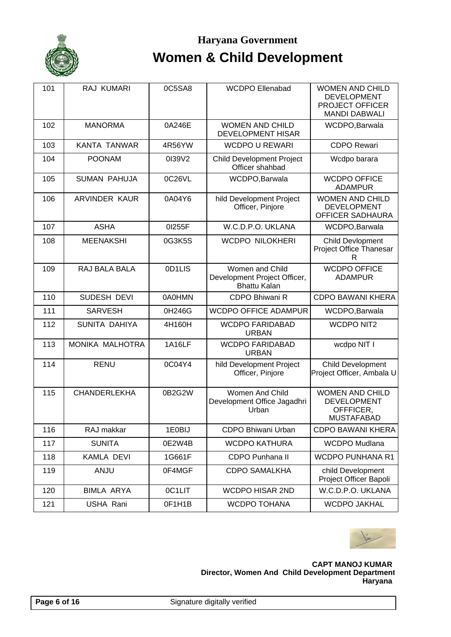

### Haryana Government **Women & Child Development**

| 101 | RAJ KUMARI           | 0C5SA8        | <b>WCDPO Ellenabad</b>                                                 | <b>WOMEN AND CHILD</b><br><b>DEVELOPMENT</b><br><b>PROJECT OFFICER</b><br><b>MANDI DABWALI</b> |
|-----|----------------------|---------------|------------------------------------------------------------------------|------------------------------------------------------------------------------------------------|
| 102 | <b>MANORMA</b>       | 0A246E        | <b>WOMEN AND CHILD</b><br><b>DEVELOPMENT HISAR</b>                     | WCDPO, Barwala                                                                                 |
| 103 | <b>KANTA TANWAR</b>  | 4R56YW        | <b>WCDPO U REWARI</b>                                                  | <b>CDPO Rewari</b>                                                                             |
| 104 | <b>POONAM</b>        | 0139V2        | <b>Child Development Project</b><br>Officer shahbad                    | Wcdpo barara                                                                                   |
| 105 | <b>SUMAN PAHUJA</b>  | 0C26VL        | WCDPO, Barwala                                                         | <b>WCDPO OFFICE</b><br><b>ADAMPUR</b>                                                          |
| 106 | <b>ARVINDER KAUR</b> | 0A04Y6        | hild Development Project<br>Officer, Pinjore                           | <b>WOMEN AND CHILD</b><br><b>DEVELOPMENT</b><br>OFFICER SADHAURA                               |
| 107 | <b>ASHA</b>          | 01255F        | W.C.D.P.O. UKLANA                                                      | WCDPO, Barwala                                                                                 |
| 108 | <b>MEENAKSHI</b>     | 0G3K5S        | <b>WCDPO NILOKHERI</b>                                                 | <b>Child Devlopment</b><br>Project Office Thanesar<br>R                                        |
| 109 | RAJ BALA BALA        | 0D1LIS        | Women and Child<br>Development Project Officer,<br><b>Bhattu Kalan</b> | <b>WCDPO OFFICE</b><br><b>ADAMPUR</b>                                                          |
| 110 | SUDESH DEVI          | 0A0HMN        | CDPO Bhiwani R                                                         | <b>CDPO BAWANI KHERA</b>                                                                       |
| 111 | <b>SARVESH</b>       | 0H246G        | <b>WCDPO OFFICE ADAMPUR</b>                                            | WCDPO, Barwala                                                                                 |
| 112 | SUNITA DAHIYA        | 4H160H        | <b>WCDPO FARIDABAD</b><br><b>URBAN</b>                                 | <b>WCDPO NIT2</b>                                                                              |
| 113 | MONIKA MALHOTRA      | <b>1A16LF</b> | <b>WCDPO FARIDABAD</b><br><b>URBAN</b>                                 | wcdpo NIT I                                                                                    |
| 114 | <b>RENU</b>          | 0C04Y4        | hild Development Project<br>Officer, Pinjore                           | Child Development<br>Project Officer, Ambala U                                                 |
| 115 | <b>CHANDERLEKHA</b>  | 0B2G2W        | Women And Child<br>Development Office Jagadhri<br>Urban                | <b>WOMEN AND CHILD</b><br><b>DEVELOPMENT</b><br>OFFFICER,<br><b>MUSTAFABAD</b>                 |
| 116 | RAJ makkar           | 1E0BIJ        | CDPO Bhiwani Urban                                                     | <b>CDPO BAWANI KHERA</b>                                                                       |
| 117 | <b>SUNITA</b>        | 0E2W4B        | <b>WCDPO KATHURA</b>                                                   | <b>WCDPO Mudlana</b>                                                                           |
| 118 | KAMLA DEVI           | 1G661F        | CDPO Punhana II                                                        | <b>WCDPO PUNHANA R1</b>                                                                        |
| 119 | <b>ANJU</b>          | 0F4MGF        | <b>CDPO SAMALKHA</b>                                                   | child Development<br>Project Officer Bapoli                                                    |
| 120 | <b>BIMLA ARYA</b>    | 0C1LIT        | <b>WCDPO HISAR 2ND</b>                                                 | W.C.D.P.O. UKLANA                                                                              |
| 121 | USHA Rani            | 0F1H1B        | <b>WCDPO TOHANA</b>                                                    | <b>WCDPO JAKHAL</b>                                                                            |

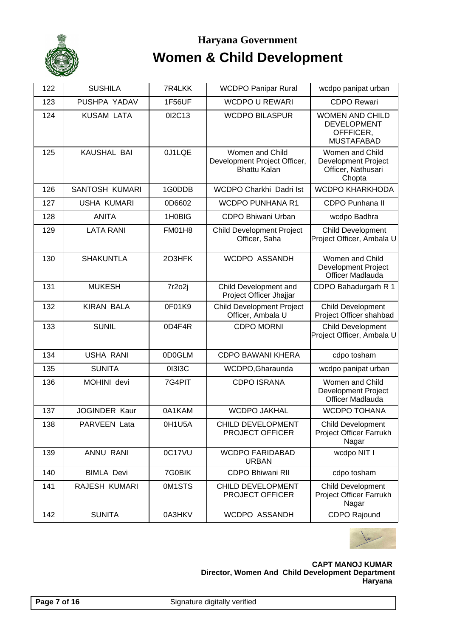

| 122 | <b>SUSHILA</b>       | 7R4LKK        | <b>WCDPO Panipar Rural</b>                                             | wcdpo panipat urban                                                            |
|-----|----------------------|---------------|------------------------------------------------------------------------|--------------------------------------------------------------------------------|
| 123 | PUSHPA YADAV         | <b>1F56UF</b> | <b>WCDPO U REWARI</b>                                                  | <b>CDPO Rewari</b>                                                             |
| 124 | <b>KUSAM LATA</b>    | 012C13        | <b>WCDPO BILASPUR</b>                                                  | <b>WOMEN AND CHILD</b><br><b>DEVELOPMENT</b><br>OFFFICER,<br><b>MUSTAFABAD</b> |
| 125 | KAUSHAL BAI          | 0J1LQE        | Women and Child<br>Development Project Officer,<br><b>Bhattu Kalan</b> | Women and Child<br><b>Development Project</b><br>Officer, Nathusari<br>Chopta  |
| 126 | SANTOSH KUMARI       | 1G0DDB        | WCDPO Charkhi Dadri Ist                                                | <b>WCDPO KHARKHODA</b>                                                         |
| 127 | <b>USHA KUMARI</b>   | 0D6602        | <b>WCDPO PUNHANA R1</b>                                                | <b>CDPO Punhana II</b>                                                         |
| 128 | <b>ANITA</b>         | 1H0BIG        | CDPO Bhiwani Urban                                                     | wcdpo Badhra                                                                   |
| 129 | <b>LATA RANI</b>     | <b>FM01H8</b> | <b>Child Development Project</b><br>Officer, Saha                      | <b>Child Development</b><br>Project Officer, Ambala U                          |
| 130 | <b>SHAKUNTLA</b>     | 2O3HFK        | WCDPO ASSANDH                                                          | Women and Child<br>Development Project<br>Officer Madlauda                     |
| 131 | <b>MUKESH</b>        | 7r2o2j        | Child Development and<br>Project Officer Jhajjar                       | CDPO Bahadurgarh R 1                                                           |
| 132 | <b>KIRAN BALA</b>    | 0F01K9        | <b>Child Development Project</b><br>Officer, Ambala U                  | <b>Child Development</b><br>Project Officer shahbad                            |
| 133 | <b>SUNIL</b>         | 0D4F4R        | <b>CDPO MORNI</b>                                                      | <b>Child Development</b><br>Project Officer, Ambala U                          |
| 134 | <b>USHA RANI</b>     | 0D0GLM        | <b>CDPO BAWANI KHERA</b>                                               | cdpo tosham                                                                    |
| 135 | <b>SUNITA</b>        | 01313C        | WCDPO, Gharaunda                                                       | wcdpo panipat urban                                                            |
| 136 | MOHINI devi          | 7G4PIT        | <b>CDPO ISRANA</b>                                                     | Women and Child<br><b>Development Project</b><br>Officer Madlauda              |
| 137 | <b>JOGINDER Kaur</b> | 0A1KAM        | <b>WCDPO JAKHAL</b>                                                    | <b>WCDPO TOHANA</b>                                                            |
| 138 | PARVEEN Lata         | 0H1U5A        | CHILD DEVELOPMENT<br><b>PROJECT OFFICER</b>                            | <b>Child Development</b><br>Project Officer Farrukh<br>Nagar                   |
| 139 | ANNU RANI            | 0C17VU        | <b>WCDPO FARIDABAD</b><br><b>URBAN</b>                                 | wcdpo NIT I                                                                    |
| 140 | <b>BIMLA Devi</b>    | 7G0BIK        | <b>CDPO Bhiwani RII</b>                                                | cdpo tosham                                                                    |
| 141 | RAJESH KUMARI        | 0M1STS        | <b>CHILD DEVELOPMENT</b><br><b>PROJECT OFFICER</b>                     | <b>Child Development</b><br>Project Officer Farrukh<br>Nagar                   |
| 142 | <b>SUNITA</b>        | 0A3HKV        | WCDPO ASSANDH                                                          | <b>CDPO Rajound</b>                                                            |

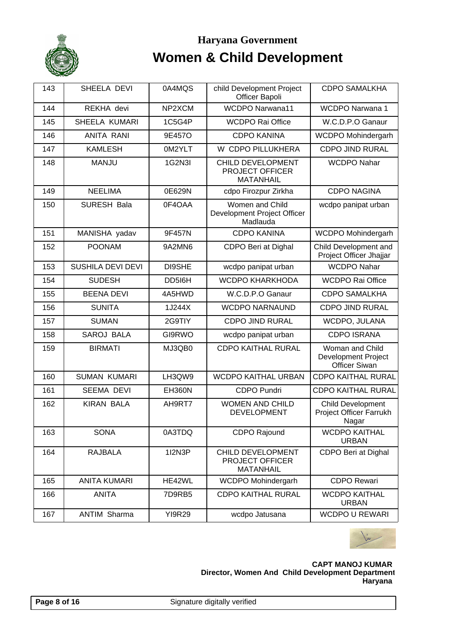

| 143 | SHEELA DEVI         | 0A4MQS        | child Development Project<br>Officer Bapoli                     | <b>CDPO SAMALKHA</b>                                                |
|-----|---------------------|---------------|-----------------------------------------------------------------|---------------------------------------------------------------------|
| 144 | REKHA devi          | NP2XCM        | <b>WCDPO Narwana11</b>                                          | <b>WCDPO Narwana 1</b>                                              |
| 145 | SHEELA KUMARI       | 1C5G4P        | <b>WCDPO Rai Office</b>                                         | W.C.D.P.O Ganaur                                                    |
| 146 | <b>ANITA RANI</b>   | 9E457O        | <b>CDPO KANINA</b>                                              | WCDPO Mohindergarh                                                  |
| 147 | <b>KAMLESH</b>      | 0M2YLT        | W CDPO PILLUKHERA                                               | <b>CDPO JIND RURAL</b>                                              |
| 148 | <b>MANJU</b>        | 1G2N3I        | CHILD DEVELOPMENT<br><b>PROJECT OFFICER</b><br><b>MATANHAIL</b> | <b>WCDPO Nahar</b>                                                  |
| 149 | <b>NEELIMA</b>      | 0E629N        | cdpo Firozpur Zirkha                                            | <b>CDPO NAGINA</b>                                                  |
| 150 | SURESH Bala         | 0F4OAA        | Women and Child<br>Development Project Officer<br>Madlauda      | wcdpo panipat urban                                                 |
| 151 | MANISHA yadav       | 9F457N        | <b>CDPO KANINA</b>                                              | WCDPO Mohindergarh                                                  |
| 152 | <b>POONAM</b>       | 9A2MN6        | CDPO Beri at Dighal                                             | Child Development and<br>Project Officer Jhajjar                    |
| 153 | SUSHILA DEVI DEVI   | DI9SHE        | wcdpo panipat urban                                             | <b>WCDPO Nahar</b>                                                  |
| 154 | <b>SUDESH</b>       | DD516H        | <b>WCDPO KHARKHODA</b>                                          | <b>WCDPO Rai Office</b>                                             |
| 155 | <b>BEENA DEVI</b>   | 4A5HWD        | W.C.D.P.O Ganaur                                                | <b>CDPO SAMALKHA</b>                                                |
| 156 | <b>SUNITA</b>       | 1J244X        | <b>WCDPO NARNAUND</b>                                           | <b>CDPO JIND RURAL</b>                                              |
| 157 | <b>SUMAN</b>        | 2G9TIY        | <b>CDPO JIND RURAL</b>                                          | WCDPO, JULANA                                                       |
| 158 | <b>SAROJ BALA</b>   | GI9RWO        | wcdpo panipat urban                                             | <b>CDPO ISRANA</b>                                                  |
| 159 | <b>BIRMATI</b>      | MJ3QB0        | <b>CDPO KAITHAL RURAL</b>                                       | Woman and Child<br>Development Project<br><b>Officer Siwan</b>      |
| 160 | <b>SUMAN KUMARI</b> | LH3QW9        | <b>WCDPO KAITHAL URBAN</b>                                      | <b>CDPO KAITHAL RURAL</b>                                           |
| 161 | <b>SEEMA DEVI</b>   | <b>EH360N</b> | <b>CDPO Pundri</b>                                              | <b>CDPO KAITHAL RURAL</b>                                           |
| 162 | <b>KIRAN BALA</b>   | AH9RT7        | <b>WOMEN AND CHILD</b><br><b>DEVELOPMENT</b>                    | <b>Child Development</b><br><b>Project Officer Farrukh</b><br>Nagar |
| 163 | <b>SONA</b>         | 0A3TDQ        | <b>CDPO Rajound</b>                                             | <b>WCDPO KAITHAL</b><br><b>URBAN</b>                                |
| 164 | <b>RAJBALA</b>      | 112N3P        | <b>CHILD DEVELOPMENT</b><br>PROJECT OFFICER<br><b>MATANHAIL</b> | CDPO Beri at Dighal                                                 |
| 165 | <b>ANITA KUMARI</b> | HE42WL        | WCDPO Mohindergarh                                              | <b>CDPO Rewari</b>                                                  |
| 166 | <b>ANITA</b>        | 7D9RB5        | <b>CDPO KAITHAL RURAL</b>                                       | <b>WCDPO KAITHAL</b><br><b>URBAN</b>                                |
| 167 | <b>ANTIM Sharma</b> | <b>YI9R29</b> | wcdpo Jatusana                                                  | <b>WCDPO U REWARI</b>                                               |

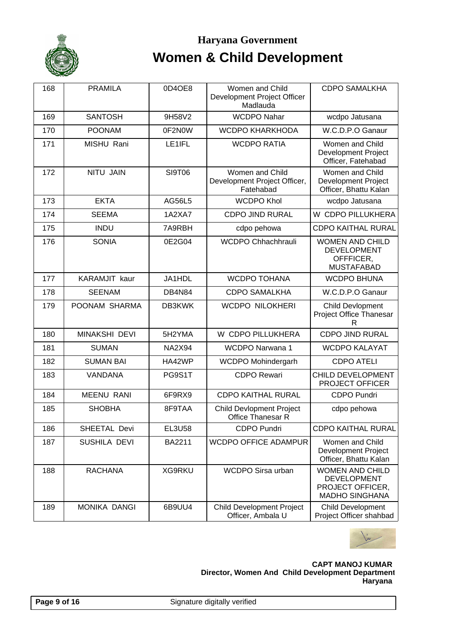

# Haryana Government **Women & Child Development**

| 168 | <b>PRAMILA</b>       | 0D4OE8        | Women and Child<br>Development Project Officer<br>Madlauda   | <b>CDPO SAMALKHA</b>                                                                      |
|-----|----------------------|---------------|--------------------------------------------------------------|-------------------------------------------------------------------------------------------|
| 169 | <b>SANTOSH</b>       | 9H58V2        | <b>WCDPO Nahar</b>                                           | wcdpo Jatusana                                                                            |
| 170 | <b>POONAM</b>        | 0F2N0W        | <b>WCDPO KHARKHODA</b>                                       | W.C.D.P.O Ganaur                                                                          |
| 171 | MISHU Rani           | LE1IFL        | <b>WCDPO RATIA</b>                                           | Women and Child<br><b>Development Project</b><br>Officer, Fatehabad                       |
| 172 | <b>NITU JAIN</b>     | SI9T06        | Women and Child<br>Development Project Officer,<br>Fatehabad | Women and Child<br><b>Development Project</b><br>Officer, Bhattu Kalan                    |
| 173 | <b>EKTA</b>          | <b>AG56L5</b> | <b>WCDPO Khol</b>                                            | wcdpo Jatusana                                                                            |
| 174 | <b>SEEMA</b>         | 1A2XA7        | <b>CDPO JIND RURAL</b>                                       | W CDPO PILLUKHERA                                                                         |
| 175 | <b>INDU</b>          | 7A9RBH        | cdpo pehowa                                                  | <b>CDPO KAITHAL RURAL</b>                                                                 |
| 176 | <b>SONIA</b>         | 0E2G04        | <b>WCDPO Chhachhrauli</b>                                    | <b>WOMEN AND CHILD</b><br><b>DEVELOPMENT</b><br>OFFFICER,<br><b>MUSTAFABAD</b>            |
| 177 | <b>KARAMJIT</b> kaur | JA1HDL        | <b>WCDPO TOHANA</b>                                          | <b>WCDPO BHUNA</b>                                                                        |
| 178 | <b>SEENAM</b>        | <b>DB4N84</b> | <b>CDPO SAMALKHA</b>                                         | W.C.D.P.O Ganaur                                                                          |
| 179 | POONAM SHARMA        | DB3KWK        | <b>WCDPO NILOKHERI</b>                                       | <b>Child Devlopment</b><br>Project Office Thanesar<br>R                                   |
| 180 | <b>MINAKSHI DEVI</b> | 5H2YMA        | W CDPO PILLUKHERA                                            | <b>CDPO JIND RURAL</b>                                                                    |
| 181 | <b>SUMAN</b>         | <b>NA2X94</b> | <b>WCDPO Narwana 1</b>                                       | <b>WCDPO KALAYAT</b>                                                                      |
| 182 | <b>SUMAN BAI</b>     | HA42WP        | WCDPO Mohindergarh                                           | <b>CDPO ATELI</b>                                                                         |
| 183 | VANDANA              | PG9S1T        | <b>CDPO Rewari</b>                                           | CHILD DEVELOPMENT<br>PROJECT OFFICER                                                      |
| 184 | <b>MEENU RANI</b>    | 6F9RX9        | <b>CDPO KAITHAL RURAL</b>                                    | <b>CDPO Pundri</b>                                                                        |
| 185 | <b>SHOBHA</b>        | 8F9TAA        | <b>Child Devlopment Project</b><br><b>Office Thanesar R</b>  | cdpo pehowa                                                                               |
| 186 | SHEETAL Devi         | <b>EL3U58</b> | <b>CDPO Pundri</b>                                           | <b>CDPO KAITHAL RURAL</b>                                                                 |
| 187 | SUSHILA DEVI         | BA2211        | <b>WCDPO OFFICE ADAMPUR</b>                                  | Women and Child<br><b>Development Project</b><br>Officer, Bhattu Kalan                    |
| 188 | <b>RACHANA</b>       | XG9RKU        | WCDPO Sirsa urban                                            | <b>WOMEN AND CHILD</b><br><b>DEVELOPMENT</b><br>PROJECT OFFICER,<br><b>MADHO SINGHANA</b> |
| 189 | <b>MONIKA DANGI</b>  | 6B9UU4        | <b>Child Development Project</b><br>Officer, Ambala U        | <b>Child Development</b><br>Project Officer shahbad                                       |

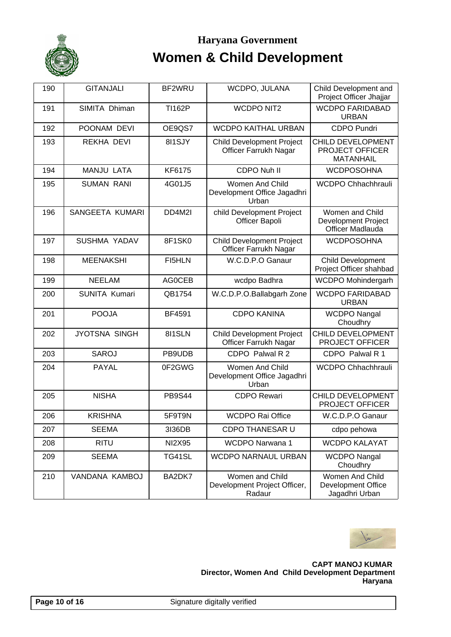

| 190 | <b>GITANJALI</b>     | BF2WRU        | WCDPO, JULANA                                             | Child Development and<br>Project Officer Jhajjar                  |
|-----|----------------------|---------------|-----------------------------------------------------------|-------------------------------------------------------------------|
| 191 | SIMITA Dhiman        | <b>TI162P</b> | <b>WCDPO NIT2</b>                                         | <b>WCDPO FARIDABAD</b><br><b>URBAN</b>                            |
| 192 | POONAM DEVI          | OE9QS7        | <b>WCDPO KAITHAL URBAN</b>                                | <b>CDPO Pundri</b>                                                |
| 193 | REKHA DEVI           | 8I1SJY        | <b>Child Development Project</b><br>Officer Farrukh Nagar | CHILD DEVELOPMENT<br>PROJECT OFFICER<br><b>MATANHAIL</b>          |
| 194 | <b>MANJU LATA</b>    | KF6175        | CDPO Nuh II                                               | <b>WCDPOSOHNA</b>                                                 |
| 195 | <b>SUMAN RANI</b>    | 4G01J5        | Women And Child<br>Development Office Jagadhri<br>Urban   | WCDPO Chhachhrauli                                                |
| 196 | SANGEETA KUMARI      | DD4M2I        | child Development Project<br>Officer Bapoli               | Women and Child<br><b>Development Project</b><br>Officer Madlauda |
| 197 | SUSHMA YADAV         | 8F1SK0        | <b>Child Development Project</b><br>Officer Farrukh Nagar | <b>WCDPOSOHNA</b>                                                 |
| 198 | <b>MEENAKSHI</b>     | FI5HLN        | W.C.D.P.O Ganaur                                          | Child Development<br>Project Officer shahbad                      |
| 199 | <b>NEELAM</b>        | <b>AGOCEB</b> | wcdpo Badhra                                              | <b>WCDPO Mohindergarh</b>                                         |
| 200 | SUNITA Kumari        | QB1754        | W.C.D.P.O.Ballabgarh Zone                                 | <b>WCDPO FARIDABAD</b><br><b>URBAN</b>                            |
| 201 | <b>POOJA</b>         | <b>BF4591</b> | <b>CDPO KANINA</b>                                        | <b>WCDPO Nangal</b><br>Choudhry                                   |
| 202 | <b>JYOTSNA SINGH</b> | 811SLN        | <b>Child Development Project</b><br>Officer Farrukh Nagar | CHILD DEVELOPMENT<br>PROJECT OFFICER                              |
| 203 | <b>SAROJ</b>         | PB9UDB        | CDPO Palwal R 2                                           | CDPO Palwal R 1                                                   |
| 204 | <b>PAYAL</b>         | 0F2GWG        | Women And Child<br>Development Office Jagadhri<br>Urban   | WCDPO Chhachhrauli                                                |
| 205 | <b>NISHA</b>         | <b>PB9S44</b> | <b>CDPO Rewari</b>                                        | CHILD DEVELOPMENT<br>PROJECT OFFICER                              |
| 206 | <b>KRISHNA</b>       | 5F9T9N        | <b>WCDPO Rai Office</b>                                   | W.C.D.P.O Ganaur                                                  |
| 207 | <b>SEEMA</b>         | 3136DB        | <b>CDPO THANESAR U</b>                                    | cdpo pehowa                                                       |
| 208 | <b>RITU</b>          | <b>NI2X95</b> | <b>WCDPO Narwana 1</b>                                    | <b>WCDPO KALAYAT</b>                                              |
| 209 | <b>SEEMA</b>         | TG41SL        | <b>WCDPO NARNAUL URBAN</b>                                | <b>WCDPO Nangal</b><br>Choudhry                                   |
| 210 | VANDANA KAMBOJ       | BA2DK7        | Women and Child<br>Development Project Officer,<br>Radaur | Women And Child<br>Development Office<br>Jagadhri Urban           |

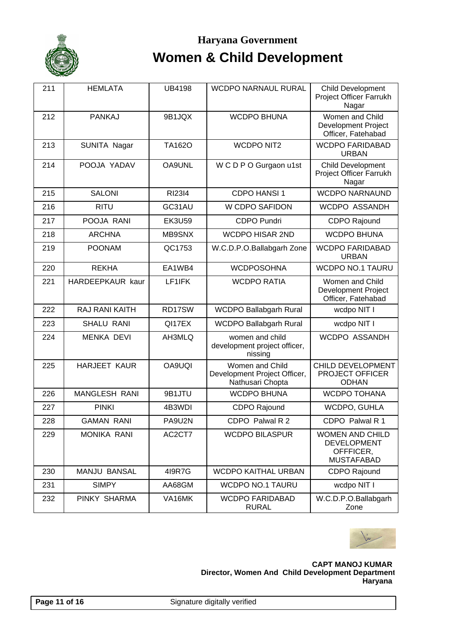

| 211 | <b>HEMLATA</b>        | <b>UB4198</b> | <b>WCDPO NARNAUL RURAL</b>                                          | <b>Child Development</b><br>Project Officer Farrukh<br>Nagar                   |
|-----|-----------------------|---------------|---------------------------------------------------------------------|--------------------------------------------------------------------------------|
| 212 | <b>PANKAJ</b>         | 9B1JQX        | <b>WCDPO BHUNA</b>                                                  | Women and Child<br><b>Development Project</b><br>Officer, Fatehabad            |
| 213 | SUNITA Nagar          | <b>TA162O</b> | <b>WCDPO NIT2</b>                                                   | <b>WCDPO FARIDABAD</b><br><b>URBAN</b>                                         |
| 214 | POOJA YADAV           | OA9UNL        | W C D P O Gurgaon u1st                                              | <b>Child Development</b><br><b>Project Officer Farrukh</b><br>Nagar            |
| 215 | <b>SALONI</b>         | <b>RI23I4</b> | CDPO HANSI 1                                                        | <b>WCDPO NARNAUND</b>                                                          |
| 216 | <b>RITU</b>           | GC31AU        | W CDPO SAFIDON                                                      | WCDPO ASSANDH                                                                  |
| 217 | POOJA RANI            | <b>EK3U59</b> | <b>CDPO Pundri</b>                                                  | CDPO Rajound                                                                   |
| 218 | <b>ARCHNA</b>         | MB9SNX        | <b>WCDPO HISAR 2ND</b>                                              | <b>WCDPO BHUNA</b>                                                             |
| 219 | <b>POONAM</b>         | QC1753        | W.C.D.P.O.Ballabgarh Zone                                           | <b>WCDPO FARIDABAD</b><br><b>URBAN</b>                                         |
| 220 | <b>REKHA</b>          | EA1WB4        | <b>WCDPOSOHNA</b>                                                   | <b>WCDPO NO.1 TAURU</b>                                                        |
| 221 | HARDEEPKAUR kaur      | LF1IFK        | <b>WCDPO RATIA</b>                                                  | Women and Child<br><b>Development Project</b><br>Officer, Fatehabad            |
| 222 | <b>RAJ RANI KAITH</b> | RD17SW        | <b>WCDPO Ballabgarh Rural</b>                                       | wcdpo NIT I                                                                    |
| 223 | <b>SHALU RANI</b>     | QI17EX        | <b>WCDPO Ballabgarh Rural</b>                                       | wcdpo NIT I                                                                    |
| 224 | <b>MENKA DEVI</b>     | AH3MLQ        | women and child<br>development project officer,<br>nissing          | WCDPO ASSANDH                                                                  |
| 225 | <b>HARJEET KAUR</b>   | <b>OA9UQI</b> | Women and Child<br>Development Project Officer,<br>Nathusari Chopta | CHILD DEVELOPMENT<br>PROJECT OFFICER<br><b>ODHAN</b>                           |
| 226 | <b>MANGLESH RANI</b>  | 9B1JTU        | <b>WCDPO BHUNA</b>                                                  | <b>WCDPO TOHANA</b>                                                            |
| 227 | <b>PINKI</b>          | 4B3WDI        | CDPO Rajound                                                        | WCDPO, GUHLA                                                                   |
| 228 | <b>GAMAN RANI</b>     | PA9U2N        | CDPO Palwal R 2                                                     | CDPO Palwal R 1                                                                |
| 229 | <b>MONIKA RANI</b>    | AC2CT7        | <b>WCDPO BILASPUR</b>                                               | <b>WOMEN AND CHILD</b><br><b>DEVELOPMENT</b><br>OFFFICER,<br><b>MUSTAFABAD</b> |
| 230 | <b>MANJU BANSAL</b>   | 419R7G        | <b>WCDPO KAITHAL URBAN</b>                                          | <b>CDPO Rajound</b>                                                            |
| 231 | <b>SIMPY</b>          | AA68GM        | <b>WCDPO NO.1 TAURU</b>                                             | wcdpo NIT I                                                                    |
| 232 | PINKY SHARMA          | VA16MK        | <b>WCDPO FARIDABAD</b><br><b>RURAL</b>                              | W.C.D.P.O.Ballabgarh<br>Zone                                                   |

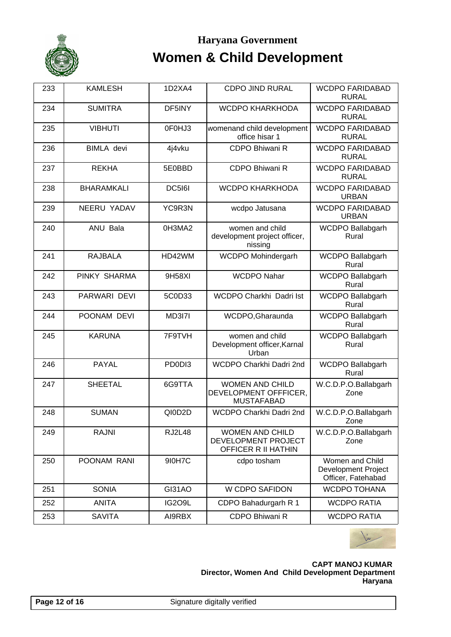

| 233 | <b>KAMLESH</b>    | 1D2XA4        | <b>CDPO JIND RURAL</b>                                               | <b>WCDPO FARIDABAD</b><br><b>RURAL</b>                              |
|-----|-------------------|---------------|----------------------------------------------------------------------|---------------------------------------------------------------------|
| 234 | <b>SUMITRA</b>    | DF5INY        | <b>WCDPO KHARKHODA</b>                                               | <b>WCDPO FARIDABAD</b><br><b>RURAL</b>                              |
| 235 | <b>VIBHUTI</b>    | 0F0HJ3        | womenand child development<br>office hisar 1                         | <b>WCDPO FARIDABAD</b><br><b>RURAL</b>                              |
| 236 | <b>BIMLA</b> devi | 4j4vku        | CDPO Bhiwani R                                                       | <b>WCDPO FARIDABAD</b><br><b>RURAL</b>                              |
| 237 | <b>REKHA</b>      | 5E0BBD        | <b>CDPO Bhiwani R</b>                                                | <b>WCDPO FARIDABAD</b><br><b>RURAL</b>                              |
| 238 | <b>BHARAMKALI</b> | <b>DC5161</b> | <b>WCDPO KHARKHODA</b>                                               | <b>WCDPO FARIDABAD</b><br><b>URBAN</b>                              |
| 239 | NEERU YADAV       | YC9R3N        | wcdpo Jatusana                                                       | <b>WCDPO FARIDABAD</b><br><b>URBAN</b>                              |
| 240 | ANU Bala          | 0H3MA2        | women and child<br>development project officer,<br>nissing           | WCDPO Ballabgarh<br>Rural                                           |
| 241 | <b>RAJBALA</b>    | HD42WM        | WCDPO Mohindergarh                                                   | WCDPO Ballabgarh<br>Rural                                           |
| 242 | PINKY SHARMA      | 9H58XI        | <b>WCDPO Nahar</b>                                                   | WCDPO Ballabgarh<br>Rural                                           |
| 243 | PARWARI DEVI      | 5C0D33        | WCDPO Charkhi Dadri Ist                                              | WCDPO Ballabgarh<br>Rural                                           |
| 244 | POONAM DEVI       | MD3I7I        | WCDPO, Gharaunda                                                     | WCDPO Ballabgarh<br>Rural                                           |
| 245 | <b>KARUNA</b>     | 7F9TVH        | women and child<br>Development officer, Karnal<br>Urban              | WCDPO Ballabgarh<br>Rural                                           |
| 246 | <b>PAYAL</b>      | PD0DI3        | WCDPO Charkhi Dadri 2nd                                              | WCDPO Ballabgarh<br>Rural                                           |
| 247 | <b>SHEETAL</b>    | 6G9TTA        | <b>WOMEN AND CHILD</b><br>DEVELOPMENT OFFFICER,<br><b>MUSTAFABAD</b> | W.C.D.P.O.Ballabgarh<br>Zone                                        |
| 248 | <b>SUMAN</b>      | QI0D2D        | WCDPO Charkhi Dadri 2nd                                              | W.C.D.P.O.Ballabgarh<br>Zone                                        |
| 249 | <b>RAJNI</b>      | <b>RJ2L48</b> | <b>WOMEN AND CHILD</b><br>DEVELOPMENT PROJECT<br>OFFICER R II HATHIN | W.C.D.P.O.Ballabgarh<br>Zone                                        |
| 250 | POONAM RANI       | 910H7C        | cdpo tosham                                                          | Women and Child<br><b>Development Project</b><br>Officer, Fatehabad |
| 251 | <b>SONIA</b>      | GI31AO        | W CDPO SAFIDON                                                       | <b>WCDPO TOHANA</b>                                                 |
| 252 | <b>ANITA</b>      | <b>IG2O9L</b> | CDPO Bahadurgarh R 1                                                 | <b>WCDPO RATIA</b>                                                  |
| 253 | <b>SAVITA</b>     | AI9RBX        | CDPO Bhiwani R                                                       | <b>WCDPO RATIA</b>                                                  |

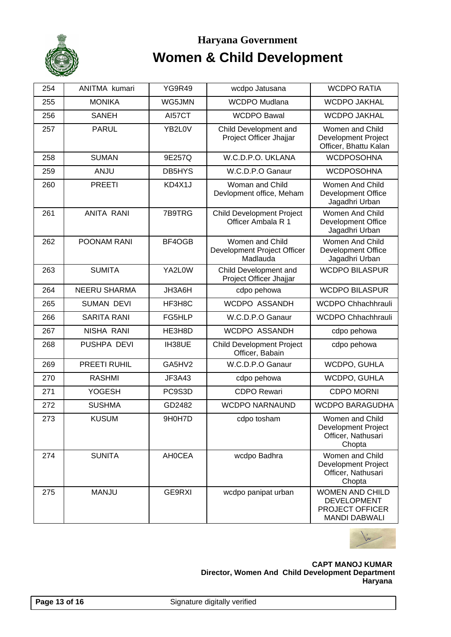

| 254 | ANITMA kumari       | <b>YG9R49</b> | wcdpo Jatusana                                             | <b>WCDPO RATIA</b>                                                                      |
|-----|---------------------|---------------|------------------------------------------------------------|-----------------------------------------------------------------------------------------|
| 255 | <b>MONIKA</b>       | WG5JMN        | <b>WCDPO Mudlana</b>                                       | <b>WCDPO JAKHAL</b>                                                                     |
| 256 | <b>SANEH</b>        | AI57CT        | <b>WCDPO Bawal</b>                                         | <b>WCDPO JAKHAL</b>                                                                     |
| 257 | <b>PARUL</b>        | YB2L0V        | Child Development and<br>Project Officer Jhajjar           | Women and Child<br><b>Development Project</b><br>Officer, Bhattu Kalan                  |
| 258 | <b>SUMAN</b>        | 9E257Q        | W.C.D.P.O. UKLANA                                          | <b>WCDPOSOHNA</b>                                                                       |
| 259 | ANJU                | DB5HYS        | W.C.D.P.O Ganaur                                           | <b>WCDPOSOHNA</b>                                                                       |
| 260 | <b>PREETI</b>       | KD4X1J        | Woman and Child<br>Devlopment office, Meham                | Women And Child<br><b>Development Office</b><br>Jagadhri Urban                          |
| 261 | <b>ANITA RANI</b>   | 7B9TRG        | <b>Child Development Project</b><br>Officer Ambala R 1     | Women And Child<br><b>Development Office</b><br>Jagadhri Urban                          |
| 262 | POONAM RANI         | BF4OGB        | Women and Child<br>Development Project Officer<br>Madlauda | Women And Child<br>Development Office<br>Jagadhri Urban                                 |
| 263 | <b>SUMITA</b>       | YA2L0W        | Child Development and<br>Project Officer Jhajjar           | <b>WCDPO BILASPUR</b>                                                                   |
| 264 | <b>NEERU SHARMA</b> | JH3A6H        | cdpo pehowa                                                | <b>WCDPO BILASPUR</b>                                                                   |
| 265 | <b>SUMAN DEVI</b>   | HF3H8C        | WCDPO ASSANDH                                              | <b>WCDPO Chhachhrauli</b>                                                               |
| 266 | <b>SARITA RANI</b>  | FG5HLP        | W.C.D.P.O Ganaur                                           | WCDPO Chhachhrauli                                                                      |
| 267 | NISHA RANI          | HE3H8D        | WCDPO ASSANDH                                              | cdpo pehowa                                                                             |
| 268 | PUSHPA DEVI         | IH38UE        | <b>Child Development Project</b><br>Officer, Babain        | cdpo pehowa                                                                             |
| 269 | PREETI RUHIL        | GA5HV2        | W.C.D.P.O Ganaur                                           | WCDPO, GUHLA                                                                            |
| 270 | <b>RASHMI</b>       | JF3A43        | cdpo pehowa                                                | WCDPO, GUHLA                                                                            |
| 271 | <b>YOGESH</b>       | PC9S3D        | <b>CDPO Rewari</b>                                         | <b>CDPO MORNI</b>                                                                       |
| 272 | <b>SUSHMA</b>       | GD2482        | <b>WCDPO NARNAUND</b>                                      | <b>WCDPO BARAGUDHA</b>                                                                  |
| 273 | <b>KUSUM</b>        | 9H0H7D        | cdpo tosham                                                | Women and Child<br><b>Development Project</b><br>Officer, Nathusari<br>Chopta           |
| 274 | <b>SUNITA</b>       | <b>AHOCEA</b> | wcdpo Badhra                                               | Women and Child<br>Development Project<br>Officer, Nathusari<br>Chopta                  |
| 275 | <b>MANJU</b>        | GE9RXI        | wcdpo panipat urban                                        | <b>WOMEN AND CHILD</b><br><b>DEVELOPMENT</b><br>PROJECT OFFICER<br><b>MANDI DABWALI</b> |

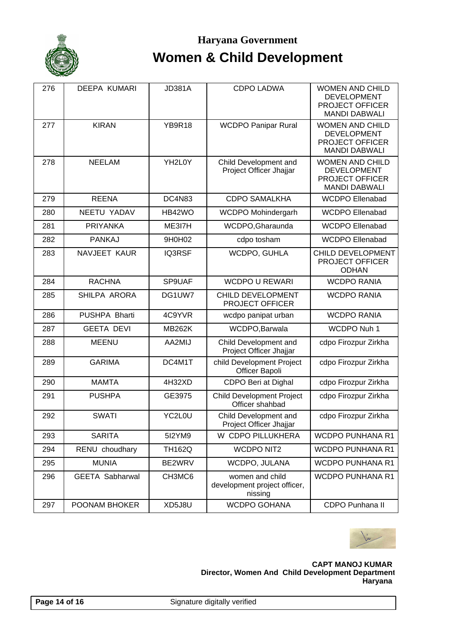

| 276 | <b>DEEPA KUMARI</b>    | <b>JD381A</b> | <b>CDPO LADWA</b>                                          | <b>WOMEN AND CHILD</b><br><b>DEVELOPMENT</b><br><b>PROJECT OFFICER</b><br><b>MANDI DABWALI</b> |
|-----|------------------------|---------------|------------------------------------------------------------|------------------------------------------------------------------------------------------------|
| 277 | <b>KIRAN</b>           | <b>YB9R18</b> | <b>WCDPO Panipar Rural</b>                                 | <b>WOMEN AND CHILD</b><br><b>DEVELOPMENT</b><br><b>PROJECT OFFICER</b><br><b>MANDI DABWALI</b> |
| 278 | <b>NEELAM</b>          | YH2L0Y        | Child Development and<br>Project Officer Jhajjar           | <b>WOMEN AND CHILD</b><br><b>DEVELOPMENT</b><br><b>PROJECT OFFICER</b><br><b>MANDI DABWALI</b> |
| 279 | <b>REENA</b>           | DC4N83        | <b>CDPO SAMALKHA</b>                                       | <b>WCDPO Ellenabad</b>                                                                         |
| 280 | NEETU YADAV            | HB42WO        | WCDPO Mohindergarh                                         | <b>WCDPO Ellenabad</b>                                                                         |
| 281 | <b>PRIYANKA</b>        | ME3I7H        | WCDPO, Gharaunda                                           | <b>WCDPO Ellenabad</b>                                                                         |
| 282 | <b>PANKAJ</b>          | 9H0H02        | cdpo tosham                                                | <b>WCDPO Ellenabad</b>                                                                         |
| 283 | NAVJEET KAUR           | IQ3RSF        | WCDPO, GUHLA                                               | CHILD DEVELOPMENT<br><b>PROJECT OFFICER</b><br><b>ODHAN</b>                                    |
| 284 | <b>RACHNA</b>          | SP9UAF        | <b>WCDPO U REWARI</b>                                      | <b>WCDPO RANIA</b>                                                                             |
| 285 | SHILPA ARORA           | DG1UW7        | CHILD DEVELOPMENT<br><b>PROJECT OFFICER</b>                | <b>WCDPO RANIA</b>                                                                             |
| 286 | PUSHPA Bharti          | 4C9YVR        | wcdpo panipat urban                                        | <b>WCDPO RANIA</b>                                                                             |
| 287 | <b>GEETA DEVI</b>      | <b>MB262K</b> | WCDPO, Barwala                                             | WCDPO Nuh 1                                                                                    |
| 288 | <b>MEENU</b>           | AA2MIJ        | Child Development and<br>Project Officer Jhajjar           | cdpo Firozpur Zirkha                                                                           |
| 289 | <b>GARIMA</b>          | DC4M1T        | child Development Project<br>Officer Bapoli                | cdpo Firozpur Zirkha                                                                           |
| 290 | <b>MAMTA</b>           | 4H32XD        | CDPO Beri at Dighal                                        | cdpo Firozpur Zirkha                                                                           |
| 291 | <b>PUSHPA</b>          | GE3975        | <b>Child Development Project</b><br>Officer shahbad        | cdpo Firozpur Zirkha                                                                           |
| 292 | <b>SWATI</b>           | YC2L0U        | Child Development and<br>Project Officer Jhajjar           | cdpo Firozpur Zirkha                                                                           |
| 293 | <b>SARITA</b>          | 512YM9        | W CDPO PILLUKHERA                                          | <b>WCDPO PUNHANA R1</b>                                                                        |
| 294 | RENU choudhary         | <b>TH162Q</b> | <b>WCDPO NIT2</b>                                          | <b>WCDPO PUNHANA R1</b>                                                                        |
| 295 | <b>MUNIA</b>           | BE2WRV        | WCDPO, JULANA                                              | <b>WCDPO PUNHANA R1</b>                                                                        |
| 296 | <b>GEETA Sabharwal</b> | CH3MC6        | women and child<br>development project officer,<br>nissing | <b>WCDPO PUNHANA R1</b>                                                                        |
| 297 | POONAM BHOKER          | XD5J8U        | <b>WCDPO GOHANA</b>                                        | CDPO Punhana II                                                                                |

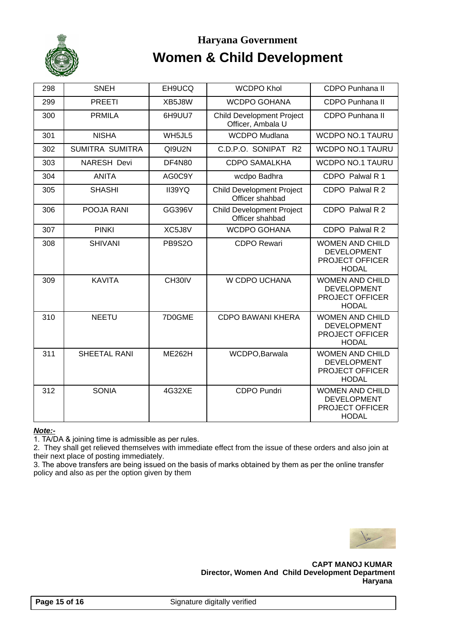

| 298 | <b>SNEH</b>         | EH9UCQ        | <b>WCDPO Khol</b>                                     | CDPO Punhana II                                                                        |
|-----|---------------------|---------------|-------------------------------------------------------|----------------------------------------------------------------------------------------|
| 299 | <b>PREETI</b>       | XB5J8W        | <b>WCDPO GOHANA</b>                                   | CDPO Punhana II                                                                        |
| 300 | <b>PRMILA</b>       | 6H9UU7        | <b>Child Development Project</b><br>Officer, Ambala U | <b>CDPO Punhana II</b>                                                                 |
| 301 | <b>NISHA</b>        | WH5JL5        | <b>WCDPO Mudlana</b>                                  | <b>WCDPO NO.1 TAURU</b>                                                                |
| 302 | SUMITRA SUMITRA     | QI9U2N        | C.D.P.O. SONIPAT R2                                   | <b>WCDPO NO.1 TAURU</b>                                                                |
| 303 | <b>NARESH Devi</b>  | <b>DF4N80</b> | <b>CDPO SAMALKHA</b>                                  | <b>WCDPO NO.1 TAURU</b>                                                                |
| 304 | <b>ANITA</b>        | AG0C9Y        | wcdpo Badhra                                          | CDPO Palwal R 1                                                                        |
| 305 | <b>SHASHI</b>       | II39YQ        | <b>Child Development Project</b><br>Officer shahbad   | CDPO Palwal R 2                                                                        |
| 306 | POOJA RANI          | GG396V        | <b>Child Development Project</b><br>Officer shahbad   | CDPO Palwal R 2                                                                        |
| 307 | <b>PINKI</b>        | XC5J8V        | <b>WCDPO GOHANA</b>                                   | CDPO Palwal R 2                                                                        |
| 308 | <b>SHIVANI</b>      | <b>PB9S2O</b> | <b>CDPO Rewari</b>                                    | <b>WOMEN AND CHILD</b><br><b>DEVELOPMENT</b><br><b>PROJECT OFFICER</b><br><b>HODAL</b> |
| 309 | <b>KAVITA</b>       | CH30IV        | W CDPO UCHANA                                         | <b>WOMEN AND CHILD</b><br><b>DEVELOPMENT</b><br>PROJECT OFFICER<br><b>HODAL</b>        |
| 310 | <b>NEETU</b>        | 7D0GME        | <b>CDPO BAWANI KHERA</b>                              | <b>WOMEN AND CHILD</b><br><b>DEVELOPMENT</b><br><b>PROJECT OFFICER</b><br><b>HODAL</b> |
| 311 | <b>SHEETAL RANI</b> | <b>ME262H</b> | WCDPO, Barwala                                        | <b>WOMEN AND CHILD</b><br><b>DEVELOPMENT</b><br><b>PROJECT OFFICER</b><br><b>HODAL</b> |
| 312 | <b>SONIA</b>        | 4G32XE        | <b>CDPO Pundri</b>                                    | <b>WOMEN AND CHILD</b><br><b>DEVELOPMENT</b><br><b>PROJECT OFFICER</b><br><b>HODAL</b> |

#### **Note:-**

1. TA/DA & joining time is admissible as per rules.

2. They shall get relieved themselves with immediate effect from the issue of these orders and also join at their next place of posting immediately.

3. The above transfers are being issued on the basis of marks obtained by them as per the online transfer policy and also as per the option given by them